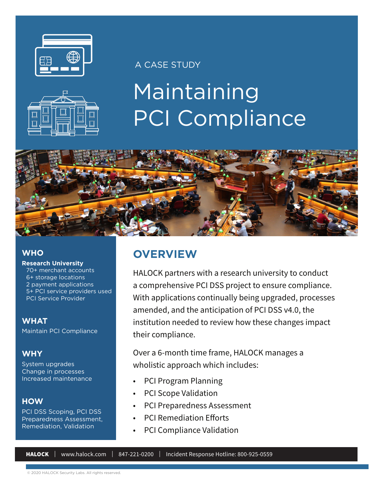

### A CASE STUDY



# Maintaining PCI Compliance



#### **WHO**

**Research University** 70+ merchant accounts 6+ storage locations 2 payment applications 5+ PCI service providers used PCI Service Provider

#### **WHAT**

[Maintain PCI Compliance](https://www.halock.com/compliance/pci-dss/)

#### **WHY**

System upgrades Change in processes Increased maintenance

#### **HOW**

PCI DSS Scoping, PCI DSS [Preparedness Assessment,](https://www.halock.com/compliance/pci-dss/)  Remediation, Validation

## **OVERVIEW**

HALOCK partners with a research university to conduct a comprehensive [PCI DSS project](https://www.halock.com/compliance/pci-dss/) to ensure compliance. With applications continually being upgraded, processes amended, and the anticipation of PCI DSS v4.0, the institution needed to review how these changes impact their compliance.

Over a 6-month time frame, HALOCK manages a wholistic approach which includes:

- PCI Program Planning
- PCI Scope Validation
- [PCI Preparedness Assessment](https://www.halock.com/compliance/pci-dss/)
- PCI Remediation Efforts
- PCI Compliance Validation